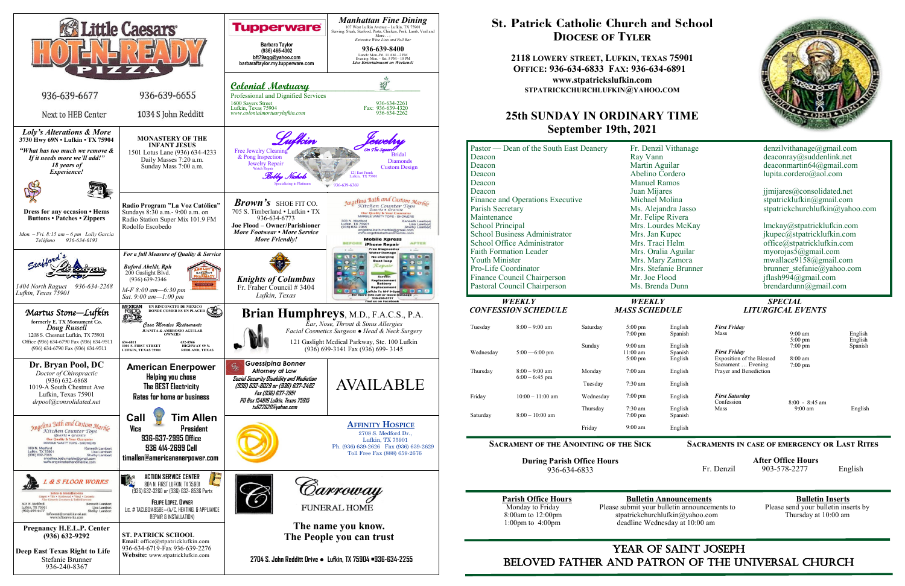

## YEAR OF SAINT JOSEPH beloved father AND Patron of the Universal Church

# **St. Patrick Catholic Church and School Diocese of Tyler**

**2118 LOWERY STREET, LUFKIN, TEXAS 75901 OFFICE: 936-634-6833 FAX: 936-634-6891 www.stpatrickslufkin.com STPATRICKCHURCHLUFKIN@YAHOO.COM**

### **25th SUNDAY IN ORDINARY TIME September 19th, 2021**

| Fr. Denzil Vithanage  | denzilvithanage@gmail.com       |  |  |
|-----------------------|---------------------------------|--|--|
| Ray Vann              | deaconray@suddenlink.net        |  |  |
| Martin Aguilar        | deaconmartin $64@g$ mail.com    |  |  |
| Abelino Cordero       | lupita.cordero@aol.com          |  |  |
| <b>Manuel Ramos</b>   |                                 |  |  |
| Juan Mijares          | jimijares@consolidated.net      |  |  |
| Michael Molina        | stpatricklufkin@gmail.com       |  |  |
| Ms. Alejandra Jasso   | stpatrickchurchlufkin@yahoo.com |  |  |
| Mr. Felipe Rivera     |                                 |  |  |
| Mrs. Lourdes McKay    | lmckay@stpatricklufkin.com      |  |  |
| Mrs. Jan Kupec        | jkupec@stpatricklufkin.com      |  |  |
| Mrs. Traci Helm       | office@stpatricklufkin.com      |  |  |
| Mrs. Oralia Aguilar   | myorojas $5@g$ mail.com         |  |  |
| Mrs. Mary Zamora      | mwallace9158@gmail.com          |  |  |
| Mrs. Stefanie Brunner | brunner stefanie@yahoo.com      |  |  |
| Mr. Joe Flood         | jflash994@gmail.com             |  |  |
| Ms. Brenda Dunn       | brendardunn@gmail.com           |  |  |
|                       |                                 |  |  |

| Deacon<br>Deacon<br>Deacon                                                                                                                                                                                                                                                                                                          | Pastor — Dean of the South East Deanery |                                       | Fr. Denzil Vithanage<br>Ray Vann<br>Martin Aguilar<br>Abelino Cordero<br><b>Manuel Ramos</b>                                                                                                                                                  |                                            | denzilvithanage@gmail.com<br>deaconray@suddenlink.net<br>deaconmartin64@gmail.com<br>lupita.cordero@aol.com                                                                                                                                                                                                      |                                           |              |
|-------------------------------------------------------------------------------------------------------------------------------------------------------------------------------------------------------------------------------------------------------------------------------------------------------------------------------------|-----------------------------------------|---------------------------------------|-----------------------------------------------------------------------------------------------------------------------------------------------------------------------------------------------------------------------------------------------|--------------------------------------------|------------------------------------------------------------------------------------------------------------------------------------------------------------------------------------------------------------------------------------------------------------------------------------------------------------------|-------------------------------------------|--------------|
| Deacon<br>Deacon<br>Finance and Operations Executive<br>Parish Secretary<br>Maintenance<br>School Principal<br><b>School Business Administrator</b><br>School Office Administrator<br><b>Faith Formation Leader</b><br><b>Youth Minister</b><br>Pro-Life Coordinator<br>Finance Council Chairperson<br>Pastoral Council Chairperson |                                         |                                       | Juan Mijares<br>Michael Molina<br>Ms. Alejandra Jasso<br>Mr. Felipe Rivera<br>Mrs. Lourdes McKay<br>Mrs. Jan Kupec<br>Mrs. Traci Helm<br>Mrs. Oralia Aguilar<br>Mrs. Mary Zamora<br>Mrs. Stefanie Brunner<br>Mr. Joe Flood<br>Ms. Brenda Dunn |                                            | jimijares@consolidated.net<br>stpatricklufkin@gmail.com<br>stpatrickchurchlufkin@yahoo.<br>lmckay@stpatricklufkin.com<br>jkupec@stpatricklufkin.com<br>office@stpatricklufkin.com<br>myorojas5@gmail.com<br>mwallace9158@gmail.com<br>brunner stefanie@yahoo.com<br>jflash994@gmail.com<br>brendardunn@gmail.com |                                           |              |
| <b>WEEKLY</b><br><b>CONFESSION SCHEDULE</b>                                                                                                                                                                                                                                                                                         |                                         | <b>WEEKLY</b><br><b>MASS SCHEDULE</b> |                                                                                                                                                                                                                                               | <b>SPECIAL</b><br><b>LITURGICAL EVENTS</b> |                                                                                                                                                                                                                                                                                                                  |                                           |              |
| Tuesday                                                                                                                                                                                                                                                                                                                             | $8:00 - 9:00$ am                        | Saturday                              | $5:00$ pm<br>$7:00$ pm                                                                                                                                                                                                                        | English<br>Spanish                         | <b>First Friday</b><br>Mass                                                                                                                                                                                                                                                                                      | $9:00 \text{ am}$<br>$5:00$ pm            | Engl<br>Engl |
| Wednesday                                                                                                                                                                                                                                                                                                                           | $5:00 - 6:00$ pm                        | Sunday                                | $9:00 \text{ am}$<br>11:00 am<br>$5:00 \text{ pm}$                                                                                                                                                                                            | English<br>Spanish<br>English              | <b>First Friday</b><br>Exposition of the Blessed<br>Sacrament  Evening                                                                                                                                                                                                                                           | $7:00 \text{ pm}$<br>8:00 am<br>$7:00$ pm | Span         |
| Thursday                                                                                                                                                                                                                                                                                                                            | $8:00 - 9:00$ am<br>$6:00 - 6:45$ pm    | Monday<br>Tuesday                     | $7:00$ am<br>$7:30$ am                                                                                                                                                                                                                        | English<br>English                         | Prayer and Benediction                                                                                                                                                                                                                                                                                           |                                           |              |
| Friday                                                                                                                                                                                                                                                                                                                              | $10:00 - 11:00$ am                      | Wednesday                             | $7:00$ pm                                                                                                                                                                                                                                     | English                                    | <b>First Saturday</b>                                                                                                                                                                                                                                                                                            |                                           |              |
|                                                                                                                                                                                                                                                                                                                                     |                                         | Thursday                              | 7:30 am                                                                                                                                                                                                                                       | English                                    | Confession<br>Mass                                                                                                                                                                                                                                                                                               | $8:00 - 8:45$ am<br>$9:00$ am             | Eng          |
| Saturday                                                                                                                                                                                                                                                                                                                            | $8:00-10:00$ am                         |                                       | $7:00$ pm                                                                                                                                                                                                                                     | Spanish                                    |                                                                                                                                                                                                                                                                                                                  |                                           |              |
|                                                                                                                                                                                                                                                                                                                                     |                                         | Friday                                | $9:00$ am                                                                                                                                                                                                                                     | English                                    |                                                                                                                                                                                                                                                                                                                  |                                           |              |

**During Parish Office Hours**  936-634-6833

**Parish Office Hours**<br>Monday to Friday **Please submit your bulletin announcements** to Please send your bulletin inserts by Monday to Friday Please submit your bulletin announcements to 8:00am to 12:00pm stratrickchurchlufkin@yahoo.com 8:00am to 12:00pm stpatrickchurchlufkin@yahoo.com Thursday at 10:00 am 1:00pm to 4:00pm deadline Wednesday at 10:00 am deadline Wednesday at 10:00 am



### **Sacraments in case of emergency or Last Rites**

 **After Office Hours**  Fr. Denzil 903-578-2277 English

# *CONFESSION SCHEDULE MASS SCHEDULE LITURGICAL EVENTS*

#### English Spanish English Spanish English English English English English Spanish English *First Friday* Mass *First Friday* Exposition of the Blessed Sacrament … Evening Prayer and Benediction *First Saturday* Confession Mass 9:00 am 5:00 pm 7:00 pm 8:00 am 7:00 pm 8:00 - 8:45 am 9:00 am English English Spanish English